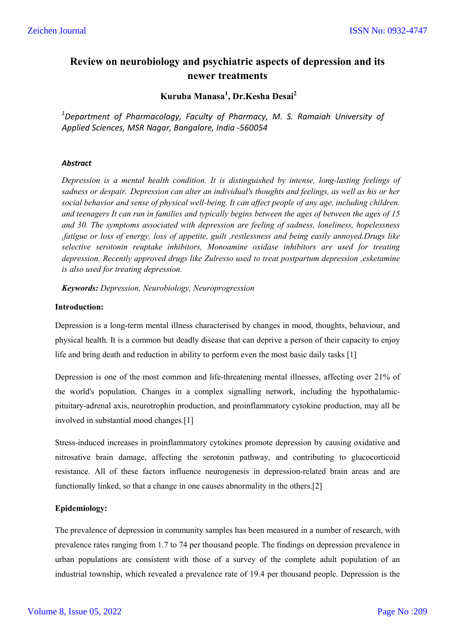# **Review on neurobiology and psychiatric aspects of depression and its newer treatments**

## **Kuruba Manasa<sup>1</sup> , Dr.Kesha Desai2**

<sup>1</sup>Department of Pharmacology, Faculty of Pharmacy, M. S. Ramaiah University of *Applied Sciences, MSR Nagar, Bangalore, India -560054*

## *Abstract*

*Depression is a mental health condition. It is distinguished by intense, long-lasting feelings of sadness or despair. Depression can alter an individual's thoughts and feelings, as well as his or her social behavior and sense of physical well-being. It can affect people of any age, including children. and teenagers It can run in families and typically begins between the ages of between the ages of 15 and 30. The symptoms associated with depression are feeling of sadness, loneliness, hopelessness ,fatigue or loss of energy, loss of appetite, guilt ,restlessness and being easily annoyed.Drugs like selective serotonin reuptake inhibitors, Monoamine oxidase inhibitors are used for treating depression. Recently approved drugs like Zulresso used to treat postpartum depression ,esketamine is also used for treating depression.*

*Keywords: Depression, Neurobiology, Neuroprogression*

## **Introduction:**

Depression is a long-term mental illness characterised by changes in mood, thoughts, behaviour, and physical health. It is a common but deadly disease that can deprive a person of their capacity to enjoy life and bring death and reduction in ability to perform even the most basic daily tasks [1]

Depression is one of the most common and life-threatening mental illnesses, affecting over 21% of the world's population. Changes in a complex signalling network, including the hypothalamicpituitary-adrenal axis, neurotrophin production, and proinflammatory cytokine production, may all be involved in substantial mood changes.[1]

Stress-induced increases in proinflammatory cytokines promote depression by causing oxidative and nitrosative brain damage, affecting the serotonin pathway, and contributing to glucocorticoid resistance. All of these factors influence neurogenesis in depression-related brain areas and are functionally linked, so that a change in one causes abnormality in the others.[2]

## **Epidemiology:**

The prevalence of depression in community samples has been measured in a number of research, with prevalence rates ranging from 1.7 to 74 per thousand people. The findings on depression prevalence in urban populations are consistent with those of a survey of the complete adult population of an industrial township, which revealed a prevalence rate of 19.4 per thousand people. Depression is the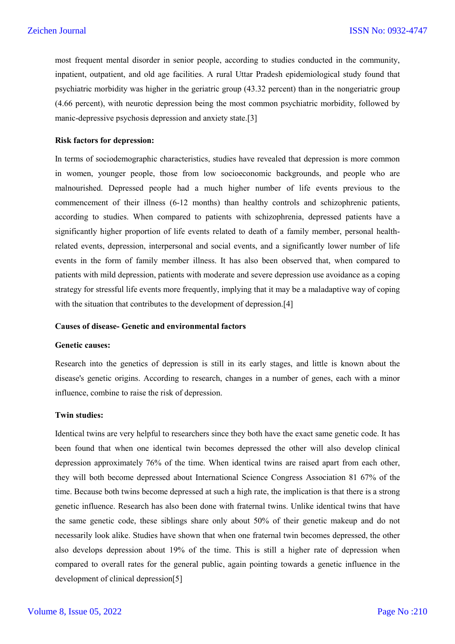most frequent mental disorder in senior people, according to studies conducted in the community, inpatient, outpatient, and old age facilities. A rural Uttar Pradesh epidemiological study found that psychiatric morbidity was higher in the geriatric group (43.32 percent) than in the nongeriatric group (4.66 percent), with neurotic depression being the most common psychiatric morbidity, followed by manic-depressive psychosis depression and anxiety state.[3]

#### **Risk factors for depression:**

In terms of sociodemographic characteristics, studies have revealed that depression is more common in women, younger people, those from low socioeconomic backgrounds, and people who are malnourished. Depressed people had a much higher number of life events previous to the commencement of their illness (6-12 months) than healthy controls and schizophrenic patients, according to studies. When compared to patients with schizophrenia, depressed patients have a significantly higher proportion of life events related to death of a family member, personal healthrelated events, depression, interpersonal and social events, and a significantly lower number of life events in the form of family member illness. It has also been observed that, when compared to patients with mild depression, patients with moderate and severe depression use avoidance as a coping strategy for stressful life events more frequently, implying that it may be a maladaptive way of coping with the situation that contributes to the development of depression.<sup>[4]</sup>

#### **Causes of disease- Genetic and environmental factors**

#### **Genetic causes:**

Research into the genetics of depression is still in its early stages, and little is known about the disease's genetic origins. According to research, changes in a number of genes, each with a minor influence, combine to raise the risk of depression.

#### **Twin studies:**

Identical twins are very helpful to researchers since they both have the exact same genetic code. It has been found that when one identical twin becomes depressed the other will also develop clinical depression approximately 76% of the time. When identical twins are raised apart from each other, they will both become depressed about International Science Congress Association 81 67% of the time. Because both twins become depressed at such a high rate, the implication is that there is a strong genetic influence. Research has also been done with fraternal twins. Unlike identical twins that have the same genetic code, these siblings share only about 50% of their genetic makeup and do not necessarily look alike. Studies have shown that when one fraternal twin becomes depressed, the other also develops depression about 19% of the time. This is still a higher rate of depression when compared to overall rates for the general public, again pointing towards a genetic influence in the development of clinical depression[5]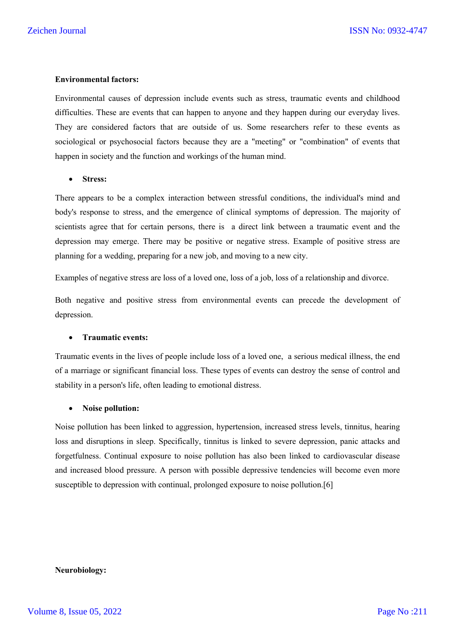#### **Environmental factors:**

Environmental causes of depression include events such as stress, traumatic events and childhood difficulties. These are events that can happen to anyone and they happen during our everyday lives. They are considered factors that are outside of us. Some researchers refer to these events as sociological or psychosocial factors because they are a "meeting" or "combination" of events that happen in society and the function and workings of the human mind.

#### **Stress:**

There appears to be a complex interaction between stressful conditions, the individual's mind and body's response to stress, and the emergence of clinical symptoms of depression. The majority of scientists agree that for certain persons, there is a direct link between a traumatic event and the depression may emerge. There may be positive or negative stress. Example of positive stress are planning for a wedding, preparing for a new job, and moving to a new city.

Examples of negative stress are loss of a loved one, loss of a job, loss of a relationship and divorce.

Both negative and positive stress from environmental events can precede the development of depression.

#### **Traumatic events:**

Traumatic events in the lives of people include loss of a loved one, a serious medical illness, the end of a marriage or significant financial loss. These types of events can destroy the sense of control and stability in a person's life, often leading to emotional distress.

#### **Noise pollution:**

Noise pollution has been linked to aggression, hypertension, increased stress levels, tinnitus, hearing loss and disruptions in sleep. Specifically, tinnitus is linked to severe depression, panic attacks and forgetfulness. Continual exposure to noise pollution has also been linked to cardiovascular disease and increased blood pressure. A person with possible depressive tendencies will become even more susceptible to depression with continual, prolonged exposure to noise pollution.[6]

#### **Neurobiology:**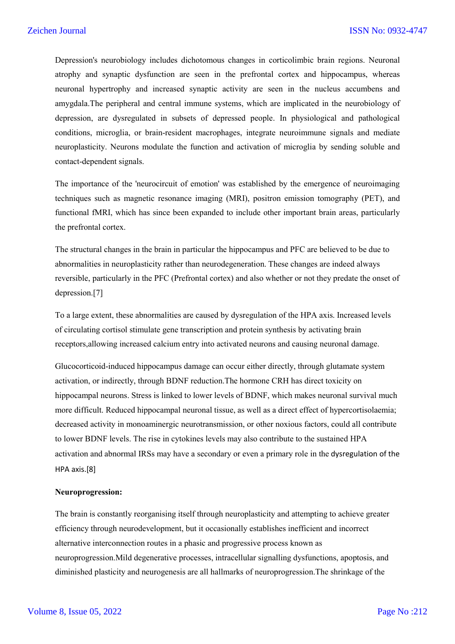Depression's neurobiology includes dichotomous changes in corticolimbic brain regions. Neuronal atrophy and synaptic dysfunction are seen in the prefrontal cortex and hippocampus, whereas neuronal hypertrophy and increased synaptic activity are seen in the nucleus accumbens and amygdala.The peripheral and central immune systems, which are implicated in the neurobiology of depression, are dysregulated in subsets of depressed people. In physiological and pathological conditions, microglia, or brain-resident macrophages, integrate neuroimmune signals and mediate neuroplasticity. Neurons modulate the function and activation of microglia by sending soluble and contact-dependent signals.

The importance of the 'neurocircuit of emotion' was established by the emergence of neuroimaging techniques such as magnetic resonance imaging (MRI), positron emission tomography (PET), and functional fMRI, which has since been expanded to include other important brain areas, particularly the prefrontal cortex.

The structural changes in the brain in particular the hippocampus and PFC are believed to be due to abnormalities in neuroplasticity rather than neurodegeneration. These changes are indeed always reversible, particularly in the PFC (Prefrontal cortex) and also whether or not they predate the onset of depression.[7]

To a large extent, these abnormalities are caused by dysregulation of the HPA axis. Increased levels of circulating cortisol stimulate gene transcription and protein synthesis by activating brain receptors,allowing increased calcium entry into activated neurons and causing neuronal damage.

Glucocorticoid-induced hippocampus damage can occur either directly, through glutamate system activation, or indirectly, through BDNF reduction.The hormone CRH has direct toxicity on hippocampal neurons. Stress is linked to lower levels of BDNF, which makes neuronal survival much more difficult. Reduced hippocampal neuronal tissue, as well as a direct effect of hypercortisolaemia; decreased activity in monoaminergic neurotransmission, or other noxious factors, could all contribute to lower BDNF levels. The rise in cytokines levels may also contribute to the sustained HPA activation and abnormal IRSs may have a secondary or even a primary role in the dysregulation of the HPA axis.[8]

#### **Neuroprogression:**

The brain is constantly reorganising itself through neuroplasticity and attempting to achieve greater efficiency through neurodevelopment, but it occasionally establishes inefficient and incorrect alternative interconnection routes in a phasic and progressive process known as neuroprogression.Mild degenerative processes, intracellular signalling dysfunctions, apoptosis, and diminished plasticity and neurogenesis are all hallmarks of neuroprogression.The shrinkage of the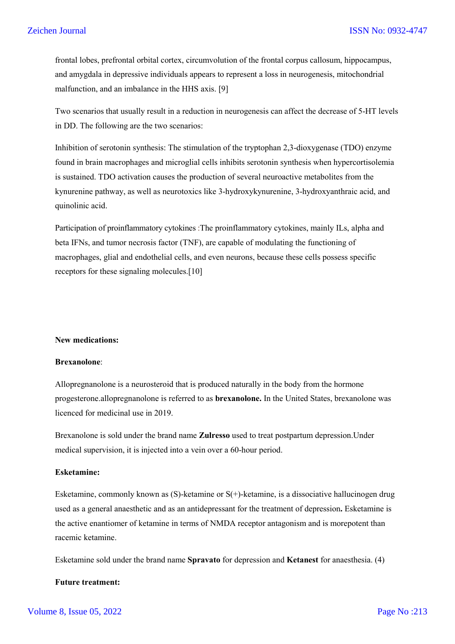frontal lobes, prefrontal orbital cortex, circumvolution of the frontal corpus callosum, hippocampus, and amygdala in depressive individuals appears to represent a loss in neurogenesis, mitochondrial malfunction, and an imbalance in the HHS axis. [9]

Two scenarios that usually result in a reduction in neurogenesis can affect the decrease of 5-HT levels in DD. The following are the two scenarios:

Inhibition of serotonin synthesis: The stimulation of the tryptophan 2,3-dioxygenase (TDO) enzyme found in brain macrophages and microglial cells inhibits serotonin synthesis when hypercortisolemia is sustained. TDO activation causes the production of several neuroactive metabolites from the kynurenine pathway, as well as neurotoxics like 3-hydroxykynurenine, 3-hydroxyanthraic acid, and quinolinic acid.

Participation of proinflammatory cytokines :The proinflammatory cytokines, mainly ILs, alpha and beta IFNs, and tumor necrosis factor (TNF), are capable of modulating the functioning of macrophages, glial and endothelial cells, and even neurons, because these cells possess specific receptors for these signaling molecules.[10]

#### **New medications:**

#### **Brexanolone**:

Allopregnanolone is a neurosteroid that is produced naturally in the body from the hormone progesterone.allopregnanolone is referred to as **brexanolone.** In the United States, brexanolone was licenced for medicinal use in 2019.

Brexanolone is sold under the brand name **Zulresso** used to treat postpartum depression.Under medical supervision, it is injected into a vein over a 60-hour period.

### **Esketamine:**

Esketamine, commonly known as  $(S)$ -ketamine or  $S(+)$ -ketamine, is a dissociative hallucinogen drug used as a general anaesthetic and as an antidepressant for the treatment of depression**.** Esketamine is the active enantiomer of ketamine in terms of NMDA receptor antagonism and is morepotent than racemic ketamine.

Esketamine sold under the brand name **Spravato** for depression and **Ketanest** for anaesthesia. (4)

## **Future treatment:**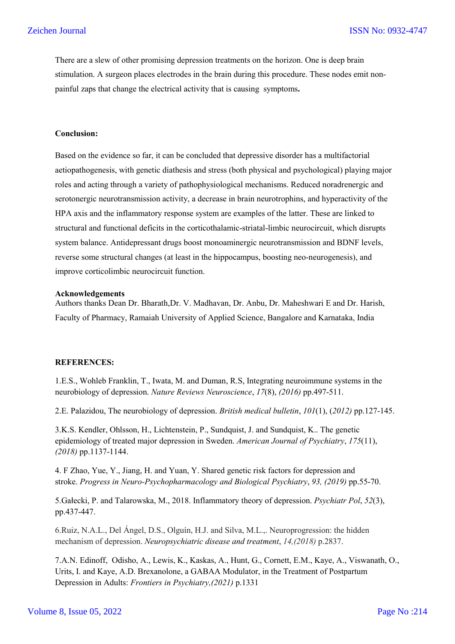There are a slew of other promising depression treatments on the horizon. One is deep brain stimulation. A surgeon places electrodes in the brain during this procedure. These nodes emit nonpainful zaps that change the electrical activity that is causing symptoms**.**

#### **Conclusion:**

Based on the evidence so far, it can be concluded that depressive disorder has a multifactorial aetiopathogenesis, with genetic diathesis and stress (both physical and psychological) playing major roles and acting through a variety of pathophysiological mechanisms. Reduced noradrenergic and serotonergic neurotransmission activity, a decrease in brain neurotrophins, and hyperactivity of the HPA axis and the inflammatory response system are examples of the latter. These are linked to structural and functional deficits in the corticothalamic-striatal-limbic neurocircuit, which disrupts system balance. Antidepressant drugs boost monoaminergic neurotransmission and BDNF levels, reverse some structural changes (at least in the hippocampus, boosting neo-neurogenesis), and improve corticolimbic neurocircuit function.

#### **Acknowledgements**

Authors thanks Dean Dr. Bharath,Dr. V. Madhavan, Dr. Anbu, Dr. Maheshwari E and Dr. Harish, Faculty of Pharmacy, Ramaiah University of Applied Science, Bangalore and Karnataka, India

#### **REFERENCES:**

1.E.S., Wohleb Franklin, T., Iwata, M. and Duman, R.S, Integrating neuroimmune systems in the neurobiology of depression. *Nature Reviews Neuroscience*, *17*(8), *(2016)* pp.497-511.

2.E. Palazidou, The neurobiology of depression. *British medical bulletin*, *101*(1), (*2012)* pp.127-145.

3.K.S. Kendler, Ohlsson, H., Lichtenstein, P., Sundquist, J. and Sundquist, K.. The genetic epidemiology of treated major depression in Sweden. *American Journal of Psychiatry*, *175*(11), *(2018)* pp.1137-1144.

4. F Zhao, Yue, Y., Jiang, H. and Yuan, Y. Shared genetic risk factors for depression and stroke. *Progress in Neuro-Psychopharmacology and Biological Psychiatry*, *93, (2019)* pp.55-70.

5.Gałecki, P. and Talarowska, M., 2018. Inflammatory theory of depression. *Psychiatr Pol*, *52*(3), pp.437-447.

6.Ruiz, N.A.L., Del Ángel, D.S., Olguín, H.J. and Silva, M.L.,. Neuroprogression: the hidden mechanism of depression. *Neuropsychiatric disease and treatment*, *14,(2018)* p.2837.

7.A.N. Edinoff, Odisho, A., Lewis, K., Kaskas, A., Hunt, G., Cornett, E.M., Kaye, A., Viswanath, O., Urits, I. and Kaye, A.D. Brexanolone, a GABAA Modulator, in the Treatment of Postpartum Depression in Adults: *Frontiers in Psychiatry,(2021)* p.1331